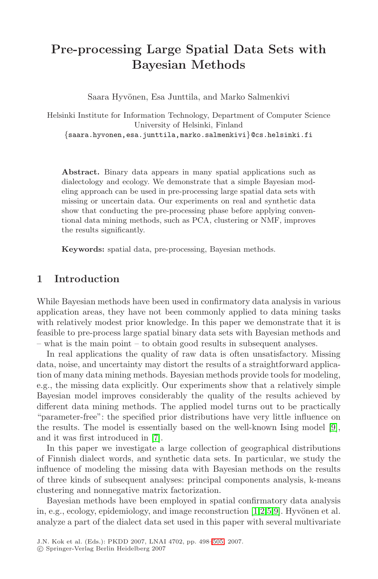# **Pre-processing Large Spatial Data Sets with Bayesian Methods**

Saara Hyvönen, Esa Junttila, and Marko Salmenkivi

Helsinki Institute for Information Technology, Department of Computer Science University of Helsinki, Finland {saara.hyvonen,esa.junttila,marko.salmenkivi}@cs.helsinki.fi

**Abstract.** Binary data appears in many spatial applications such as dialectology and ecology. We demonstrate that a simple Bayesian modeling approach can be used in pre-processing large spatial data sets with missing or uncertain data. Our experiments on real and synthetic data show that conducting the pre-processing phase before applying conventional data mining methods, such as PCA, clustering or NMF, improves the results significantly.

**Keywords:** spatial data, pre-processing, Bayesian methods.

# **1 Introduction**

While Bayesian methods have been used in confirmatory data analysis in various application areas, they have not been commonly applied to data mining tasks with relatively modest prior knowledge. In this paper we demonstrate that it is feasible to pre-process large spatial binary data sets with Bayesian methods and – what is the main point – to obtain good results in subs[eq](#page-7-0)uent analyses.

In real [app](#page-7-1)lications the quality of raw data is often unsatisfactory. Missing data, noise, and uncertainty may distort the results of a straightforward application of many data mining methods. Bayesian methods provide tools for modeling, e.g., the missing data explicitly. Our experiments show that a relatively simple Bayesian model improves considerably the quality of the results achieved by different data mining methods. The applied model turns out to be practically "parameter-free": the specified prior distributions have very little influence on the results. The model is essentially [b](#page-7-2)[as](#page-7-3)[ed](#page-7-4) [o](#page-7-0)n the well-known Ising model [9], and it was first introduced in [7].

In this paper we investigate a large collection of geographical distributions of Finnish dialect words, [and](#page-7-5) synthetic data sets. In particular, we study the influence of modeling the missing data with Bayesian methods on the results of three kinds of subsequent analyses: principal components analysis, k-means clustering and nonnegative matrix factorization.

Bayesian methods have been employed in spatial confirmatory data analysis in, e.g., ecology, epidemiology, and image reconstruction  $[1,2,5,9]$ . Hyvönen et al. analyze a part of the dialect data set used in this paper with several multivariate

J.N. Kok et al. (Eds.): PKDD 2007, LNAI 4702, pp. 498–505, 2007.

<sup>-</sup>c Springer-Verlag Berlin Heidelberg 2007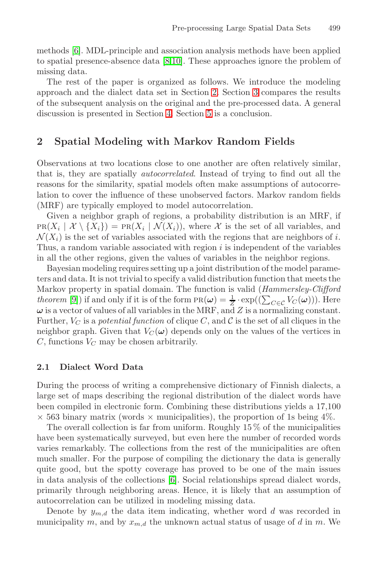methods [6]. MDL-principle and association analysis methods have been applied to spatial presence-absence data [8,10]. These approaches ignore the problem of missing data.

The rest of the paper is organized as follows. We introduce the modeling approach and the dialect data set in Section 2. Section 3 compares the results of the subsequent analysis on the original and the pre-processed data. A general discussion is presented in Section 4. Section 5 is a conclusion.

### **2 Spatial Modeling with Markov Random Fields**

Observations at two locations close to one another are often relatively similar, that is, they are spatially autocorrelated. Instead of trying to find out all the reasons for the similarity, spatial models often make assumptions of autocorrelation to cover the influence of these unobserved factors. Markov random fields (MRF) are typically employed to model autocorrelation.

Given a neighbor graph of regions, a probability distribution is an MRF, if  $PR(X_i | X \setminus \{X_i\}) = PR(X_i | \mathcal{N}(X_i))$ , where X is the set of all variables, and  $\mathcal{N}(X_i)$  is the set of variables associated with the regions that are neighbors of i. Thus, a random variable associated with region  $i$  is independent of the variables in all the other regions, given the values of variables in the neighbor regions.

<span id="page-1-0"></span>Bayesian modeling requires setting up a joint distribution of the model parameters and data. It is not trivial to specify a valid distribution function that meets the Markov property in spatial domain. The function is valid (Hammersley-Clifford *theorem* [9]) if and only if it is of the form  $PR(\omega) = \frac{1}{Z} \cdot exp((\sum_{C \in \mathcal{C}} V_C(\omega)))$ . Here  $\omega$  is a vector of values of all variables in the MRF, and Z is a normalizing constant. Further,  $V_C$  is a potential function of clique C, and C is the set of all cliques in the neighbor graph. Given that  $V_C(\omega)$  depends only on the values of the vertices in  $C$ , functions  $V_C$  may be chosen arbitrarily.

#### **2.1 Dialect Word Data**

During the process of writing a comprehensive dictionary of Finnish dialects, a large set of ma[ps](#page-7-6) describing the regional distribution of the dialect words have been compiled in electronic form. Combining these distributions yields a 17,100  $\times$  563 binary matrix (words  $\times$  municipalities), the proportion of 1s being 4%.

The overall collection is far from uniform. Roughly  $15\%$  of the municipalities have been systematically surveyed, but even here the number of recorded words varies remarkably. The collections from the rest of the municipalities are often much smaller. For the purpose of compiling the dictionary the data is generally quite good, but the spotty coverage has proved to be one of the main issues in data analysis of the collections [6]. Social relationships spread dialect words, primarily through neighboring areas. Hence, it is likely that an assumption of autocorrelation can be utilized in modeling missing data.

Denote by  $y_{m,d}$  the data item indicating, whether word d was recorded in municipality m, and by  $x_{m,d}$  the unknown actual status of usage of d in m. We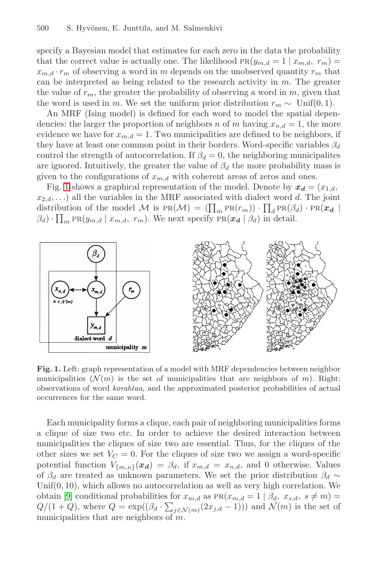#### 500 S. Hyvönen, E. Junttila, and M. Salmenkivi

specify a Bayesian model that estimates for each zero in the data the probability that the correct value is actually one. The likelihood  $PR(y_{m,d} = 1 | x_{m,d}, r_m) =$  $x_{m,d} \cdot r_m$  of observing a word in m depends on the unobserved quantity  $r_m$  that can be interpreted as being related to the research activity in  $m$ . The greater the value of  $r_m$ , the greater the probability of observing a word in m, given that the word is used in m. We set the uniform prior distribution  $r_m \sim \text{Unif}(0, 1)$ .

An MRF (Ising model) is defined for each word to model the spatial dependencies: the larger the proportion of neighbors n of m having  $x_{n,d} = 1$ , the more evidence we have for  $x_{m,d} = 1$ . Two municipalities are defined to be neighbors, if they have at least one common point in their borders. Word-specific variables  $\beta_d$ control the strength of autocorrelation. If  $\beta_d = 0$ , the neighboring municipalites are ignored. Intuitively, the greater the value of  $\beta_d$  the more probability mass is given to the configurations of  $x_{m,d}$  with coherent areas of zeros and ones.

Fig. 1 shows a graphical representation of the model. Denote by  $x_d = (x_{1,d},$  $x_{2,d}$ ,...) all the variables in the MRF associated with dialect word d. The joint distribution of the model M is  $PR(M) = (\prod_m PR(r_m)) \cdot \prod_d PR(\beta_d) \cdot PR(\mathbf{x}_d)$  $(\beta_d)$  ·  $\prod_m \text{PR}(y_{m,d} | x_{m,d}, r_m)$ . We next specify  $\text{PR}(x_d | \beta_d)$  in detail.

<span id="page-2-0"></span>

Fig. 1. Left: graph representation of a model with MRF dependencies between neighbor municipalities ( $\mathcal{N}(m)$  is the set of municipalities that are neighbors of m). Right: observations of word korahtaa, and the approximated posterior probabilities of actual occurrences for the same word.

Each municipality forms a clique, each pair of neighboring municipalities forms a clique of size two etc. In order to achieve the desired interaction between municipalities the cliques of size two are essential. Thus, for the cliques of the other sizes we set  $V_C = 0$ . For the cliques of size two we assign a word-specific potential function  $V_{\{m,n\}}(x_d) = \beta_d$ , if  $x_{m,d} = x_{n,d}$ , and 0 otherwise. Values of  $\beta_d$  are treated as unknown parameters. We set the prior distribution  $\beta_d \sim$ Unif $(0, 10)$ , which allows no autocorrelation as well as very high correlation. We obtain [9] conditional probabilities for  $x_{m,d}$  as  $PR(x_{m,d} = 1 | \beta_d, x_{s,d}, s \neq m)$  $Q/(1+Q)$ , where  $Q = \exp((\beta_d \cdot \sum_{j \in \mathcal{N}(m)} (2x_{j,d}-1)))$  and  $\mathcal{N}(m)$  is the set of municipalities that are neighbors of  $m$ .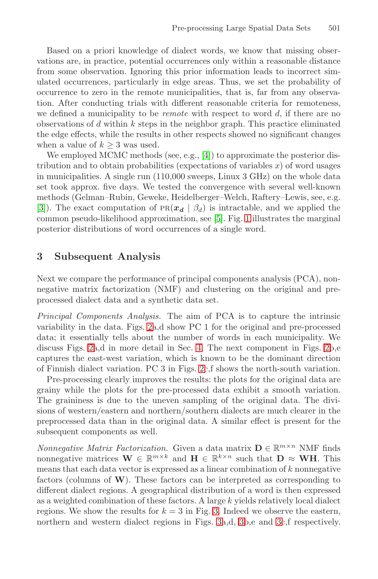Based on a priori knowledge of dialect words, we know that missing observations are, in practice, potential occurrences only within a reasonable distance from some observation. [Ig](#page-7-7)noring this prior information leads to incorrect simulated occurrences, particularly in edge areas. Thus, we set the probability of occurrence to zero in the remote municipalities, that is, far from any observation. After conducting trials with different reasonable criteria for remoteness, we defined a municipality to be *remote* with respect to word  $d$ , if there are no observations of  $d$  within  $k$  steps in the neighbor graph. This practice eliminated the edge effects, while the r[esu](#page-7-4)lts in [ot](#page-2-0)her respects showed no significant changes when a value of  $k \geq 3$  was used.

We employed MCMC methods (see, e.g., [4]) to approximate the posterior distribution and to obtain probabilities (expectations of variables  $x$ ) of word usages in municipalities. A single run (110,000 sweeps, Linux 3 GHz) on the whole data set took approx. five days. We tested the convergence with several well-known methods (Gelman–Rubin, Geweke, Heidelberger–Welch, Raftery–Lewis, see, e.g. [3]). The exact computation of  $PR(x_d | \beta_d)$  is intractable, and we applied the common pseudo-likelihood approximation, see [5]. Fig. 1 illustrates the marginal posterior distributions of word occurrences of a single word.

#### **3 Subsequent Analysis**

Next we compare the performance of principal components analysis (PCA), nonnegative matrix factor[iza](#page-4-0)tion (NMF) and clustering on the original and preprocessed dialect data and a synthetic data set.

Principal Components Analysis. The aim of PCA is to capture the intrinsic variability in the data. Figs. 2a,d show PC 1 for the original and pre-processed data; it essentially tells about the number of words in each municipality. We discuss Figs. 2a,d in more detail in Sec. 4. The next component in Figs. 2b,e captures the east-west variation, which is known to be the dominant direction of Finnish dialect variation. PC 3 in Figs. 2c,f shows the north-south variation.

Pre-processing clearly improves the results: the plots for the original data are grainy while the plots for the pre-processed data exhibit a smooth variation. The graininess is due to the uneven sampling of the original data. The divisions of western/eastern and northern/southern dialects are much clearer in the preprocessed data than in the original data. A similar effect is present for the subsequent components as [w](#page-4-1)ell.

*Nonnegative Matrix Factori[za](#page-4-1)tion[.](#page-4-1)* Given a [d](#page-4-1)ata matrix  $\mathbf{D} \in \mathbb{R}^{m \times n}$  NMF finds nonnegative matrices  $\mathbf{W} \in \mathbb{R}^{m \times k}$  and  $\mathbf{H} \in \mathbb{R}^{k \times n}$  such that  $\mathbf{D} \approx \mathbf{W} \mathbf{H}$ . This means that each data vector is expressed as a linear combination of  $k$  nonnegative factors (columns of **W**). These factors can be interpreted as corresponding to different dialect regions. A geographical distribution of a word is then expressed as a weighted combination of these factors. A large  $k$  yields relatively local dialect regions. We show the results for  $k = 3$  in Fig. 3. Indeed we observe the eastern, northern and western dialect regions in Figs. 3a,d, 3b,e and 3c,f respectively.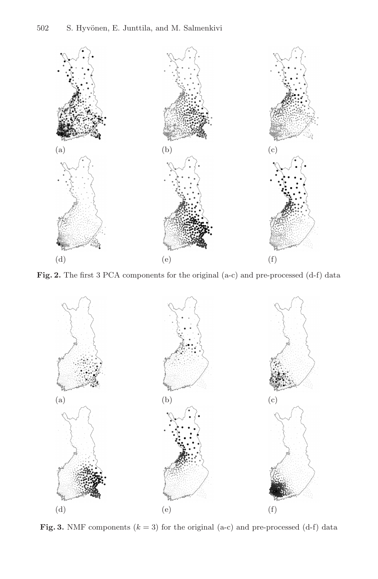

<span id="page-4-0"></span>**Fig. 2.** The first 3 PCA components for the original (a-c) and pre-processed (d-f) data



<span id="page-4-1"></span>**Fig. 3.** NMF components  $(k = 3)$  for the original  $(a-c)$  and pre-processed  $(d-f)$  data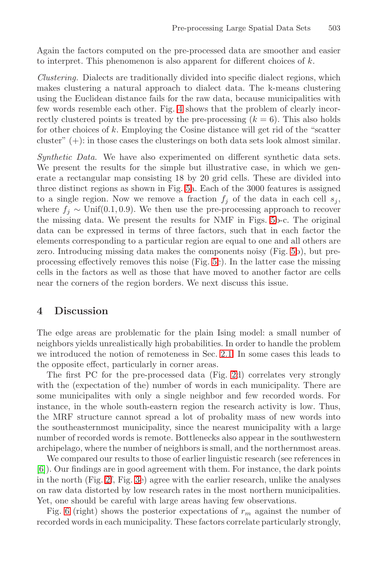Again the factors computed on the pre-processed data are smoother and easier to interpret. This phenomenon is also apparent for different choices of  $k$ .

Clustering. Dialects are traditionally divided into specific dialect regions, which makes clustering a natural approach to dialect data. The k-means clustering using the Euclidean distance fails for the raw data, because municipalities with few words resemble [ea](#page-6-0)ch other. Fig. 4 shows that the problem of clearly incorrectly clustered points is treated by the pre-processing  $(k = 6)$ . This also holds for other choices of  $k$ . Employing the Cosine distance will get rid of the "scatter" cluster" (+): in those cases the clusterings [on](#page-6-0) both data sets look almost similar.

Synthetic Data. We have also experimented on different synthetic data sets. We present the results for the simple but ill[ust](#page-6-0)rative case, in which we generate a rectangular map c[on](#page-6-0)sisting 18 by 20 grid cells. These are divided into three distinct regions as shown in Fig. 5a. Each of the 3000 features is assigned to a single region. Now we remove a fraction  $f_j$  of the data in each cell  $s_j$ , where  $f_i \sim \text{Unif}(0.1, 0.9)$ . We then use the pre-processing approach to recover the missing data. We present the results for NMF in Figs. 5b-c. The original data can be expressed in terms of three factors, such that in each factor the elements corresponding to a particular region are equal to one and all others are zero. Introducing missing data makes the components noisy (Fig. 5b), but preprocessing effectively removes this noise (Fig. 5c). In the latter case the missing cells in the factors as well a[s tho](#page-1-0)se that have moved to another factor are cells near the corners of the region borders. We next discuss this issue.

#### **4 Discussion**

The edge areas are problematic for the plain Ising model: a small number of neighbors yields unrealistically high probabilities. In order to handle the problem we introduced the notion of remoteness in Sec. 2.1. In some cases this leads to the opposite effect, particularly in corner areas.

The first PC for the pre-processed data (Fig. 2d) correlates very strongly with the (expectation of the) number of words in each municipality. There are [s](#page-4-0)ome [mu](#page-4-1)nicipalites with only a single neighbor and few recorded words. For instance, in the whole south-eastern region the research activity is low. Thus, the MRF structure cannot spread a lot of probality mass of new words into the southeasternmost municipality, since the nearest municipality with a large number of recorded words is remote. Bottlenecks also appear in the southwestern archipelago, where the number of neighbors is small, and the northernmost areas.

We compared our results to those of earlier linguistic research (see references in [6]). Our findings are in good agreement with them. For instance, the dark points in the north (Fig. 2f, Fig. 3e) agree with the earlier research, unlike the analyses on raw data distorted by low research rates in the most northern municipalities. Yet, one should be careful with large areas having few observations.

Fig. 6 (right) shows the posterior expectations of  $r_m$  against the number of recorded words in each municipality. These factors correlate particularly strongly,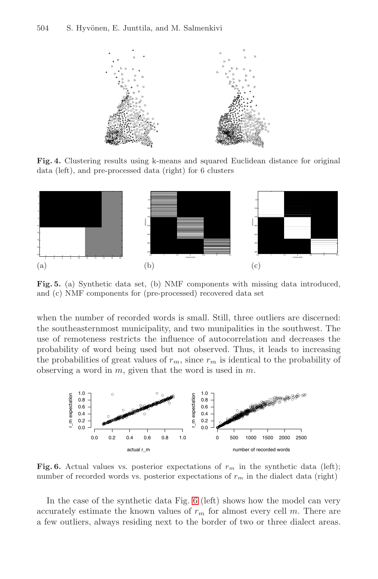#### 504 S. Hyvönen, E. Junttila, and M. Salmenkivi



**Fig. 4.** Clustering results using k-means and squared Euclidean distance for original data (left), and pre-processed data (right) for 6 clusters

<span id="page-6-0"></span>

**Fig. 5.** (a) Synthetic data set, (b) NMF components with missing data introduced, and (c) NMF components for (pre-processed) recovered data set

when the number of recorded words is small. Still, three outliers are discerned: the southeasternmost municipality, and two munipalities in the southwest. The use of remoteness restricts the influence of autocorrelation and decreases the probability of word being used but not observed. Thus, it leads to increasing the probabilities of great values of  $r_m$ , since  $r_m$  is identical to the probability of observing a word in  $m$ , given that the word is used in  $m$ .



**Fig. 6.** Actual values vs. posterior expectations of  $r_m$  in the synthetic data (left); number of recorded words vs. posterior expectations of  $r_m$  in the dialect data (right)

In the case of the synthetic data Fig. 6 (left) shows how the model can very accurately estimate the known values of  $r_m$  for almost every cell m. There are a few outliers, always residing next to the border of two or three dialect areas.